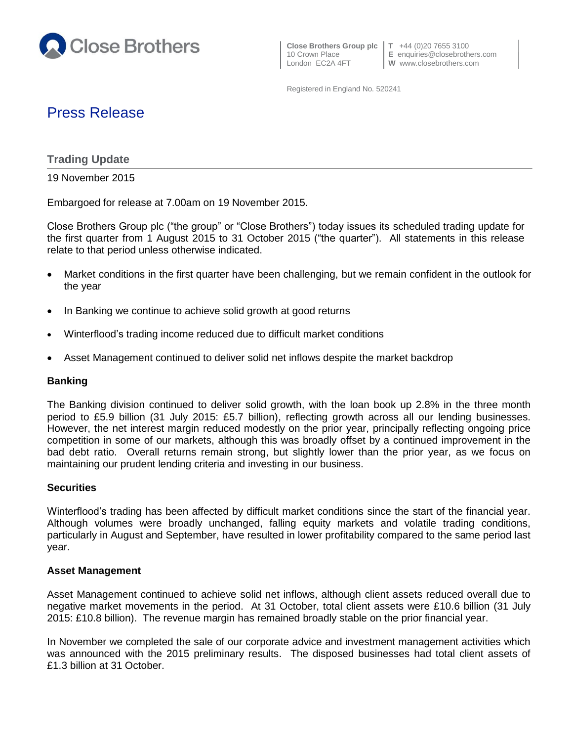

 **Close Brothers Group plc T** +44 (0)20 7655 3100 London EC2A 4FT **W** www.closebrothers.com

10 Crown Place **E** enquiries@closebrothers.com

Registered in England No. 520241

# Press Release

## **Trading Update**

19 November 2015

Embargoed for release at 7.00am on 19 November 2015.

Close Brothers Group plc ("the group" or "Close Brothers") today issues its scheduled trading update for the first quarter from 1 August 2015 to 31 October 2015 ("the quarter"). All statements in this release relate to that period unless otherwise indicated.

- Market conditions in the first quarter have been challenging, but we remain confident in the outlook for the year
- In Banking we continue to achieve solid growth at good returns
- Winterflood's trading income reduced due to difficult market conditions
- Asset Management continued to deliver solid net inflows despite the market backdrop

## **Banking**

The Banking division continued to deliver solid growth, with the loan book up 2.8% in the three month period to £5.9 billion (31 July 2015: £5.7 billion), reflecting growth across all our lending businesses. However, the net interest margin reduced modestly on the prior year, principally reflecting ongoing price competition in some of our markets, although this was broadly offset by a continued improvement in the bad debt ratio. Overall returns remain strong, but slightly lower than the prior year, as we focus on maintaining our prudent lending criteria and investing in our business.

### **Securities**

Winterflood's trading has been affected by difficult market conditions since the start of the financial year. Although volumes were broadly unchanged, falling equity markets and volatile trading conditions, particularly in August and September, have resulted in lower profitability compared to the same period last year.

### **Asset Management**

Asset Management continued to achieve solid net inflows, although client assets reduced overall due to negative market movements in the period. At 31 October, total client assets were £10.6 billion (31 July 2015: £10.8 billion). The revenue margin has remained broadly stable on the prior financial year.

In November we completed the sale of our corporate advice and investment management activities which was announced with the 2015 preliminary results. The disposed businesses had total client assets of £1.3 billion at 31 October.